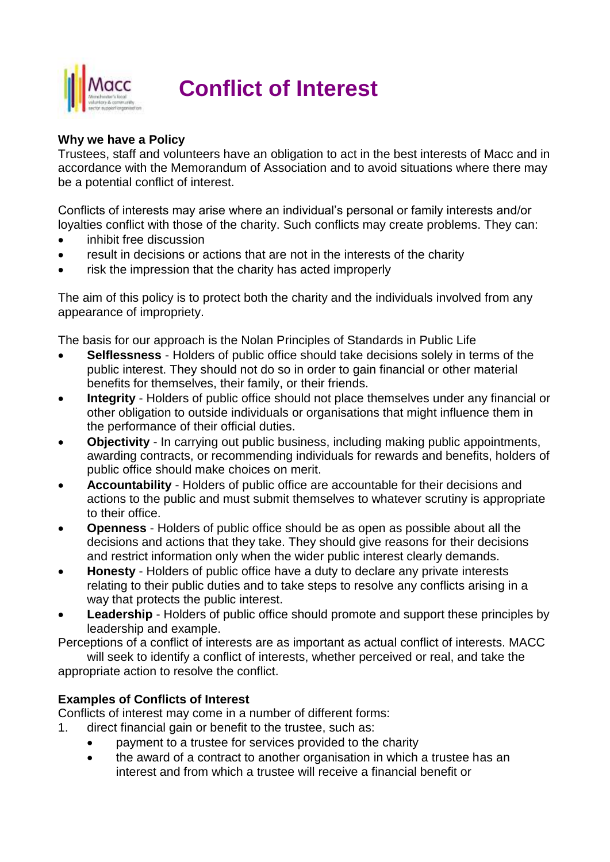

# **Conflict of Interest**

# **Why we have a Policy**

Trustees, staff and volunteers have an obligation to act in the best interests of Macc and in accordance with the Memorandum of Association and to avoid situations where there may be a potential conflict of interest.

Conflicts of interests may arise where an individual's personal or family interests and/or loyalties conflict with those of the charity. Such conflicts may create problems. They can:

- inhibit free discussion
- result in decisions or actions that are not in the interests of the charity
- risk the impression that the charity has acted improperly

The aim of this policy is to protect both the charity and the individuals involved from any appearance of impropriety.

The basis for our approach is the Nolan Principles of Standards in Public Life

- **Selflessness** Holders of public office should take decisions solely in terms of the public interest. They should not do so in order to gain financial or other material benefits for themselves, their family, or their friends.
- **Integrity** Holders of public office should not place themselves under any financial or other obligation to outside individuals or organisations that might influence them in the performance of their official duties.
- **Objectivity** In carrying out public business, including making public appointments, awarding contracts, or recommending individuals for rewards and benefits, holders of public office should make choices on merit.
- **Accountability** Holders of public office are accountable for their decisions and actions to the public and must submit themselves to whatever scrutiny is appropriate to their office.
- **Openness** Holders of public office should be as open as possible about all the decisions and actions that they take. They should give reasons for their decisions and restrict information only when the wider public interest clearly demands.
- **Honesty** Holders of public office have a duty to declare any private interests relating to their public duties and to take steps to resolve any conflicts arising in a way that protects the public interest.
- **Leadership** Holders of public office should promote and support these principles by leadership and example.

Perceptions of a conflict of interests are as important as actual conflict of interests. MACC will seek to identify a conflict of interests, whether perceived or real, and take the

appropriate action to resolve the conflict.

# **Examples of Conflicts of Interest**

Conflicts of interest may come in a number of different forms:

- 1. direct financial gain or benefit to the trustee, such as:
	- payment to a trustee for services provided to the charity
	- the award of a contract to another organisation in which a trustee has an interest and from which a trustee will receive a financial benefit or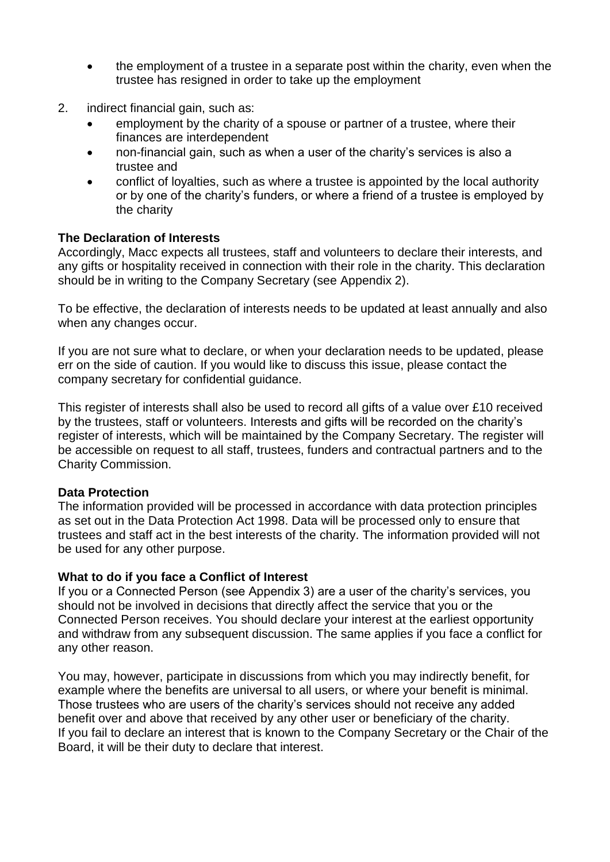- the employment of a trustee in a separate post within the charity, even when the trustee has resigned in order to take up the employment
- 2. indirect financial gain, such as:
	- employment by the charity of a spouse or partner of a trustee, where their finances are interdependent
	- non-financial gain, such as when a user of the charity's services is also a trustee and
	- conflict of loyalties, such as where a trustee is appointed by the local authority or by one of the charity's funders, or where a friend of a trustee is employed by the charity

#### **The Declaration of Interests**

Accordingly, Macc expects all trustees, staff and volunteers to declare their interests, and any gifts or hospitality received in connection with their role in the charity. This declaration should be in writing to the Company Secretary (see Appendix 2).

To be effective, the declaration of interests needs to be updated at least annually and also when any changes occur.

If you are not sure what to declare, or when your declaration needs to be updated, please err on the side of caution. If you would like to discuss this issue, please contact the company secretary for confidential guidance.

This register of interests shall also be used to record all gifts of a value over £10 received by the trustees, staff or volunteers. Interests and gifts will be recorded on the charity's register of interests, which will be maintained by the Company Secretary. The register will be accessible on request to all staff, trustees, funders and contractual partners and to the Charity Commission.

# **Data Protection**

The information provided will be processed in accordance with data protection principles as set out in the Data Protection Act 1998. Data will be processed only to ensure that trustees and staff act in the best interests of the charity. The information provided will not be used for any other purpose.

#### **What to do if you face a Conflict of Interest**

If you or a Connected Person (see Appendix 3) are a user of the charity's services, you should not be involved in decisions that directly affect the service that you or the Connected Person receives. You should declare your interest at the earliest opportunity and withdraw from any subsequent discussion. The same applies if you face a conflict for any other reason.

You may, however, participate in discussions from which you may indirectly benefit, for example where the benefits are universal to all users, or where your benefit is minimal. Those trustees who are users of the charity's services should not receive any added benefit over and above that received by any other user or beneficiary of the charity. If you fail to declare an interest that is known to the Company Secretary or the Chair of the Board, it will be their duty to declare that interest.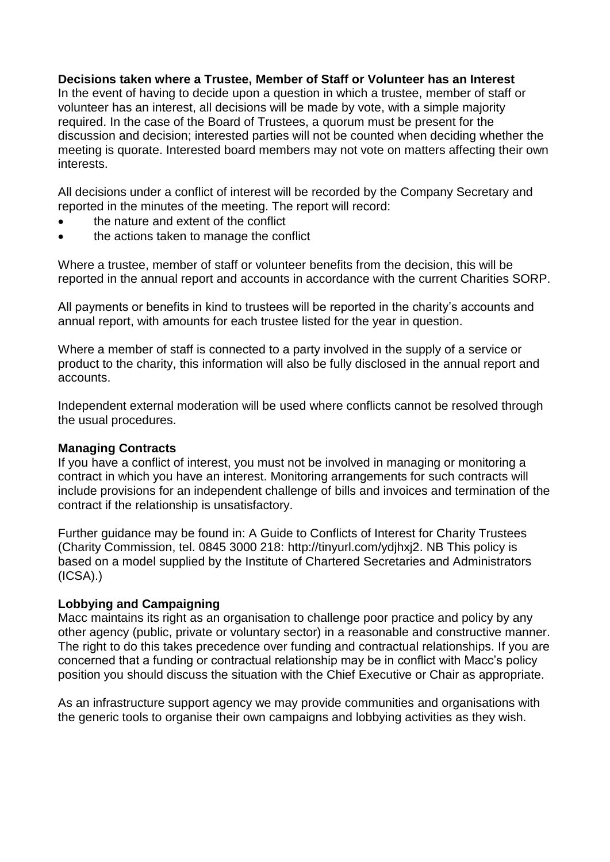#### **Decisions taken where a Trustee, Member of Staff or Volunteer has an Interest**

In the event of having to decide upon a question in which a trustee, member of staff or volunteer has an interest, all decisions will be made by vote, with a simple majority required. In the case of the Board of Trustees, a quorum must be present for the discussion and decision; interested parties will not be counted when deciding whether the meeting is quorate. Interested board members may not vote on matters affecting their own interests.

All decisions under a conflict of interest will be recorded by the Company Secretary and reported in the minutes of the meeting. The report will record:

- the nature and extent of the conflict
- the actions taken to manage the conflict

Where a trustee, member of staff or volunteer benefits from the decision, this will be reported in the annual report and accounts in accordance with the current Charities SORP.

All payments or benefits in kind to trustees will be reported in the charity's accounts and annual report, with amounts for each trustee listed for the year in question.

Where a member of staff is connected to a party involved in the supply of a service or product to the charity, this information will also be fully disclosed in the annual report and accounts.

Independent external moderation will be used where conflicts cannot be resolved through the usual procedures.

#### **Managing Contracts**

If you have a conflict of interest, you must not be involved in managing or monitoring a contract in which you have an interest. Monitoring arrangements for such contracts will include provisions for an independent challenge of bills and invoices and termination of the contract if the relationship is unsatisfactory.

Further guidance may be found in: A Guide to Conflicts of Interest for Charity Trustees (Charity Commission, tel. 0845 3000 218: [http://tinyurl.com/ydjhxj2.](http://tinyurl.com/ydjhxj2) NB This policy is based on a model supplied by the Institute of Chartered Secretaries and Administrators  $(ICSA)$ .)

#### **Lobbying and Campaigning**

Macc maintains its right as an organisation to challenge poor practice and policy by any other agency (public, private or voluntary sector) in a reasonable and constructive manner. The right to do this takes precedence over funding and contractual relationships. If you are concerned that a funding or contractual relationship may be in conflict with Macc's policy position you should discuss the situation with the Chief Executive or Chair as appropriate.

As an infrastructure support agency we may provide communities and organisations with the generic tools to organise their own campaigns and lobbying activities as they wish.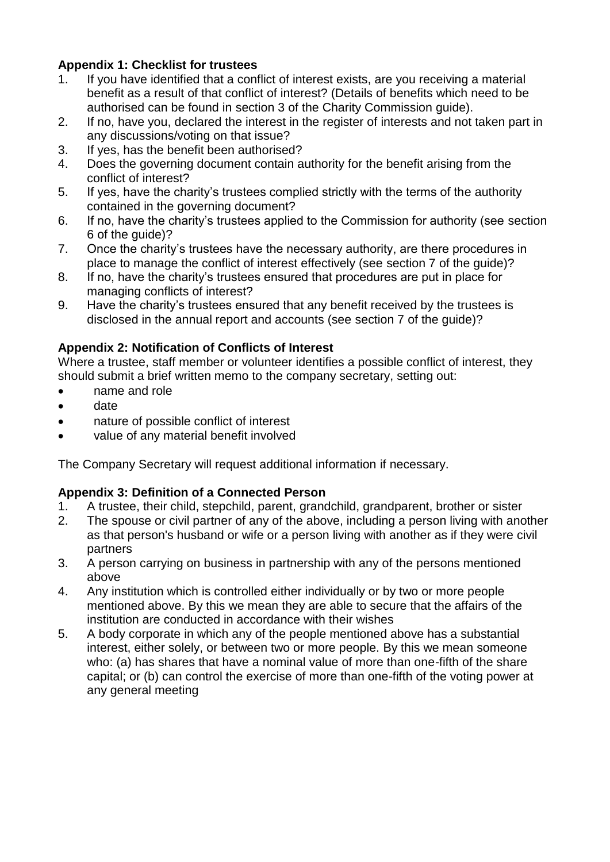# **Appendix 1: Checklist for trustees**

- 1. If you have identified that a conflict of interest exists, are you receiving a material benefit as a result of that conflict of interest? (Details of benefits which need to be authorised can be found in section 3 of the Charity Commission guide).
- 2. If no, have you, declared the interest in the register of interests and not taken part in any discussions/voting on that issue?
- 3. If yes, has the benefit been authorised?
- 4. Does the governing document contain authority for the benefit arising from the conflict of interest?
- 5. If yes, have the charity's trustees complied strictly with the terms of the authority contained in the governing document?
- 6. If no, have the charity's trustees applied to the Commission for authority (see section 6 of the guide)?
- 7. Once the charity's trustees have the necessary authority, are there procedures in place to manage the conflict of interest effectively (see section 7 of the guide)?
- 8. If no, have the charity's trustees ensured that procedures are put in place for managing conflicts of interest?
- 9. Have the charity's trustees ensured that any benefit received by the trustees is disclosed in the annual report and accounts (see section 7 of the guide)?

# **Appendix 2: Notification of Conflicts of Interest**

Where a trustee, staff member or volunteer identifies a possible conflict of interest, they should submit a brief written memo to the company secretary, setting out:

- name and role
- date
- nature of possible conflict of interest
- value of any material benefit involved

The Company Secretary will request additional information if necessary.

# **Appendix 3: Definition of a Connected Person**

- 1. A trustee, their child, stepchild, parent, grandchild, grandparent, brother or sister
- 2. The spouse or civil partner of any of the above, including a person living with another as that person's husband or wife or a person living with another as if they were civil partners
- 3. A person carrying on business in partnership with any of the persons mentioned above
- 4. Any institution which is controlled either individually or by two or more people mentioned above. By this we mean they are able to secure that the affairs of the institution are conducted in accordance with their wishes
- 5. A body corporate in which any of the people mentioned above has a substantial interest, either solely, or between two or more people. By this we mean someone who: (a) has shares that have a nominal value of more than one-fifth of the share capital; or (b) can control the exercise of more than one-fifth of the voting power at any general meeting